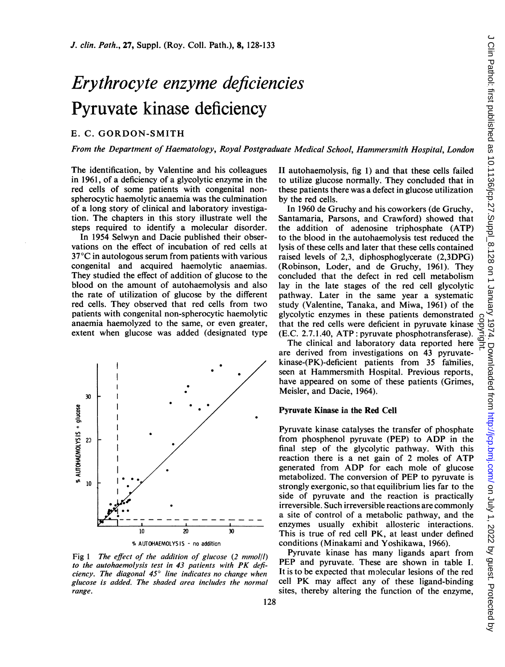# Erythrocyte enzyme deficiencies Pyruvate kinase deficiency

# E. C. GORDON-SMITH

From the Department of Haematology, Royal Postgraduate Medical School, Hammersmith Hospital, London

The identification, by Valentine and his colleagues in 1961, of a deficiency of a glycolytic enzyme in the red cells of some patients with congenital nonspherocytic haemolytic anaemia was the culmination of a long story of clinical and laboratory investigation. The chapters in this story illustrate well the steps required to identify a molecular disorder.

In 1954 Selwyn and Dacie published their observations on the effect of incubation of red cells at 37°C in autologous serum from patients with various congenital and acquired haemolytic anaemias. They studied the effect of addition of glucose to the blood on the amount of autohaemolysis and also the rate of utilization of glucose by the different red cells. They observed that red cells from two patients with congenital non-spherocytic haemolytic anaemia haemolyzed to the same, or even greater, extent when glucose was added (designated type



Fig 1 The effect of the addition of glucose  $(2 \text{ mmol/l})$ to the autohaemolysis test in <sup>43</sup> patients with PK deficiency. The diagonal  $45^\circ$  line indicates no change when glucose is added. The shaded area includes the normal range.

II autohaemolysis, fig 1) and that these cells failed to utilize glucose normally. They concluded that in these patients there was a defect in glucose utilization by the red cells.

In 1960 de Gruchy and his coworkers (de Gruchy, Santamaria, Parsons, and Crawford) showed that the addition of adenosine triphosphate (ATP) to the blood in the autohaemolysis test reduced the lysis of these cells and later that these cells contained raised levels of 2,3, diphosphoglycerate (2,3DPG) (Robinson, Loder, and de Gruchy, 1961). They concluded that the defect in red cell metabolism lay in the late stages of the red cell glycolytic pathway. Later in the same year a systematic study (Valentine, Tanaka, and Miwa, 1961) of the glycolytic enzymes in these patients demonstrated that the red cells were deficient in pyruvate kinase (E.C. 2.7.1.40, ATP: pyruvate phosphotransferase).

The clinical and laboratory data reported here are derived from investigations on 43 pyruvatekinase-(PK)-deficient patients from 35 families, seen at Hammersmith Hospital. Previous reports, have appeared on some of these patients (Grimes, Meisler, and Dacie, 1964).

# Pyruvate Kinase in the Red Cell

Pyruvate kinase catalyses the transfer of phosphate from phosphenol pyruvate (PEP) to ADP in the final step of the glycolytic pathway. With this reaction there is <sup>a</sup> net gain of <sup>2</sup> moles of ATP generated from ADP for each mole of glucose metabolized. The conversion of PEP to pyruvate is strongly exergonic, so that equilibrium lies far to the side of pyruvate and the reaction is practically irreversible. Such irreversible reactions are commonly a site of control of a metabolic pathway, and the enzymes usually exhibit allosteric interactions. This is true of red cell PK, at least under defined conditions (Minakami and Yoshikawa, 1966).

Pyruvate kinase has many ligands apart from PEP and pyruvate. These are shown in table I. It is to be expected that molecular lesions of the red cell PK may affect any of these ligand-binding sites, thereby altering the function of the enzyme,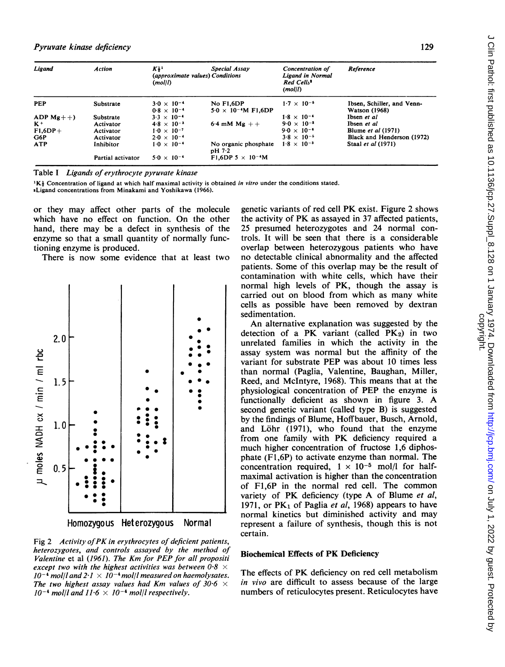| Ligand         | <b>Action</b>     | $K_{\frac{1}{2}}$<br>(approximate values) Conditions<br>(mol/l) | Special Assay                              | Concentration of<br>Ligand in Normal<br>Red Cells <sup>8</sup><br>(moll) | Reference                                          |
|----------------|-------------------|-----------------------------------------------------------------|--------------------------------------------|--------------------------------------------------------------------------|----------------------------------------------------|
| <b>PEP</b>     | Substrate         | $3.0 \times 10^{-4}$<br>$0.8 \times 10^{-4}$                    | No F1.6DP<br>$5.0 \times 10^{-4}$ M F1,6DP | $1.7 \times 10^{-5}$                                                     | Ibsen, Schiller, and Venn-<br><b>Watson</b> (1968) |
| ADP $Mg + +$ ) | Substrate         | $3.3 \times 10^{-4}$                                            |                                            | $1.8 \times 10^{-4}$                                                     | Ibsen et al                                        |
| $K^+$          | Activator         | $4.8 \times 10^{-3}$                                            | 6.4 mM $Mg + +$                            | $9.0 \times 10^{-2}$                                                     | Ibsen et al                                        |
| $F1,6DP+$      | Activator         | $1.0 \times 10^{-7}$                                            |                                            | $9.0 \times 10^{-6}$                                                     | <b>Blume et al (1971)</b>                          |
| G6P            | Activator         | $2.0 \times 10^{-4}$                                            |                                            | $3.8 \times 10^{-5}$                                                     | Black and Henderson (1972)                         |
| <b>ATP</b>     | Inhibitor         | $1.0 \times 10^{-4}$                                            | No organic phosphate<br>$pH$ 7.2           | $1.8 \times 10^{-3}$                                                     | Staal et al (1971)                                 |
|                | Partial activator | $5.0 \times 10^{-4}$                                            | F1,6DP 5 $\times$ 10 <sup>-4</sup> M       |                                                                          |                                                    |

Table <sup>I</sup> Ligands of erythrocyte pyruvate kinase

 ${}^{1}K\frac{1}{2}$  Concentration of ligand at which half maximal activity is obtained in vitro under the conditions stated.

sLigand concentrations from Minakami and Yoshikawa (1966).

or they may affect other parts of the molecule which have no effect on function. On the other hand, there may be a defect in synthesis of the enzyme so that a small quantity of normally functioning enzyme is produced.

There is now some evidence that at least two





Fig <sup>2</sup> Activity ofPK in erythrocytes of deficient patients, heterozygotes, and controls assayed by the method of Valentine et al (1961). The Km for PEP for all propositi except two with the highest activities was between  $0.8 \times$  $10^{-4}$  mol/l and  $2 \cdot 1 \times 10^{-4}$  mol/l measured on haemolysates. The two highest assay values had Km values of 30.6  $\times$  $10^{-4}$  mol/l and  $11.6 \times 10^{-4}$  mol/l respectively.

genetic variants of red cell PK exist. Figure <sup>2</sup> shows the activity of PK as assayed in <sup>37</sup> affected patients, 25 presumed heterozygotes and 24 normal controls. It will be seen that there is a considerable overlap between heterozygous patients who have no detectable clinical abnormality and the affected patients. Some of this overlap may be the result of contamination with white cells, which have their normal high levels of PK, though the assay is carried out on blood from which as many white cells as possible have been removed by dextran sedimentation.

An alternative explanation was suggested by the detection of a PK variant (called  $PK<sub>2</sub>$ ) in two unrelated families in which the activity in the assay system was normal but the affinity of the variant for substrate PEP was about 10 times less than normal (Paglia, Valentine, Baughan, Miller, Reed, and McIntyre, 1968). This means that at the physiological concentration of PEP the enzyme is functionally deficient as shown in figure 3. A second genetic variant (called type B) is suggested by the findings of Blume, Hoffbauer, Busch, Arnold, and Löhr (1971), who found that the enzyme from one family with PK deficiency required <sup>a</sup> much higher concentration of fructose 1,6 diphosphate (Fl,6P) to activate enzyme than normal. The concentration required,  $1 \times 10^{-5}$  mol/l for halfmaximal activation is higher than the concentration of F1,6P in the normal red cell. The common variety of PK deficiency (type A of Blume et al, 1971, or  $PK_1$  of Paglia *et al*, 1968) appears to have normal kinetics but diminished activity and may represent a failure of synthesis, though this is not certain.

## Biochemical Effects of PK Deficiency

The effects of PK deficiency on red cell metabolism in vivo are difficult to assess because of the large numbers of reticulocytes present. Reticulocytes have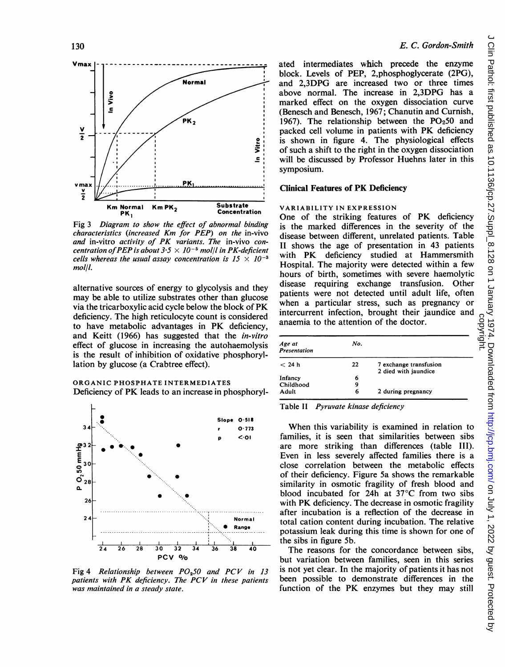

Fig 3 Diagram to show the effect of abnormal binding characteristics (increased Km for PEP) on the in-vivo and in-vitro activity of PK variants. The in-vivo concentration of PEP is about  $3.5 \times 10^{-5}$  mol/l in PK-deficient cells whereas the usual assay concentration is  $15 \times 10^{-3}$ mol/l.

alternative sources of energy to glycolysis and they may be able to utilize substrates other than glucose via the tricarboxylic acid cycle below the block of PK deficiency. The high reticulocyte count is considered to have metabolic advantages in PK deficiency, and Keitt (1966) has suggested that the in-vitro effect of glucose in increasing the autohaemolysis is the result of inhibition of oxidative phosphoryllation by glucose (a Crabtree effect).

## ORGANIC PHOSPHATE INTERMEDIATES Deficiency of PK leads to an increase in phosphoryl-



Fig 4 Relationship between  $PO<sub>0</sub>50$  and  $PCV$  in 13 patients with PK deficiency. The PCV in these patients was maintained in a steady state.

ated intermediates which precede the enzyme block. Levels of PEP, 2,phosphoglycerate (2PG), and 2,3DPG are increased two or three times above normal. The increase in 2,3DPG has a marked effect on the oxygen dissociation curve (Benesch and Benesch, 1967; Chanutin and Curnish, 1967). The relationship between the  $PO<sub>2</sub>50$  and packed cell volume in patients with PK deficiency is shown in figure 4. The physiological effects of such a shift to the right in the oxygen dissociation will be discussed by Professor Huehns later in this symposium.

## Clinical Features of PK Deficiency

## VARIABILITY IN EXPRESSION

One of the striking features of PK deficiency is the marked differences in the severity of the disease between different, unrelated patients. Table II shows the age of presentation in 43 patients with PK deficiency studied at Hammersmith Hospital. The majority were detected within a few hours of birth, sometimes with severe haemolytic disease requiring exchange transfusion. Other patients were not detected until adult life, often when a particular stress, such as pregnancy or intercurrent infection, brought their jaundice and anaemia to the attention of the doctor.

| Age at<br><b>Presentation</b> | No. |                                                |
|-------------------------------|-----|------------------------------------------------|
| < 24 h                        | 22  | 7 exchange transfusion<br>2 died with jaundice |
| Infancy                       | 6   |                                                |
| Childhood                     | 9   |                                                |
| Adult                         | 6   | 2 during pregnancy                             |

Table II Pyruvate kinase deficiency

When this variability is examined in relation to families, it is seen that similarities between sibs are more striking than differences (table III). Even in less severely affected families there is a close correlation between the metabolic effects of their deficiency. Figure 5a shows the remarkable similarity in osmotic fragility of fresh blood and blood incubated for 24h at 37°C from two sibs with PK deficiency. The decrease in osmotic fragility after incubation is a reflection of the decrease in total cation content during incubation. The relative potassium leak during this time is shown for one of the sibs in figure 5b.

The reasons for the concordance between sibs, but variation between families, seen in this series is not yet clear. In the majority of patients it has not been possible to demonstrate differences in the function of the PK enzymes but they may still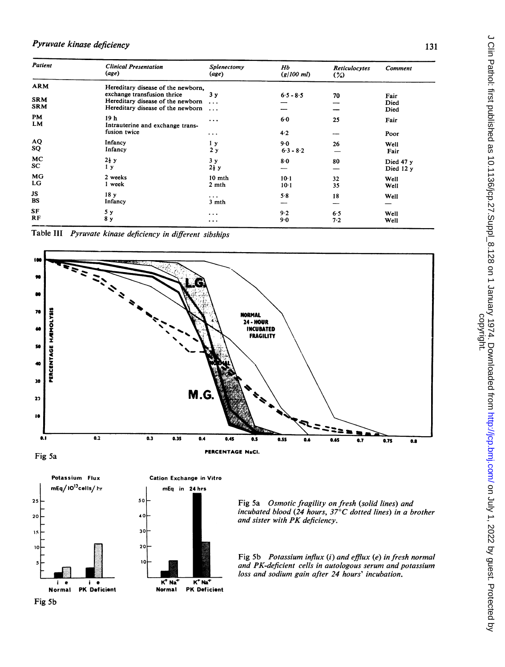# Pyruvate kinase deficiency

| Patient          | <b>Clinical Presentation</b><br>(age)    | Splenectomy<br>(age) | Hb<br>$(g/100 \, \text{ml})$ | Reticulocytes<br>$\frac{1}{2}$ | Comment   |
|------------------|------------------------------------------|----------------------|------------------------------|--------------------------------|-----------|
| ARM              | Hereditary disease of the newborn.       |                      |                              |                                |           |
|                  | exchange transfusion thrice              | 3 <sub>y</sub>       | $6.5 - 8.5$                  | 70                             | Fair      |
| <b>SRM</b>       | Hereditary disease of the newborn        | $\ddotsc$            |                              |                                | Died      |
| <b>SRM</b>       | Hereditary disease of the newborn        | $\ddotsc$            |                              |                                | Died      |
| <b>PM</b><br>LM. | 19 h<br>Intrauterine and exchange trans- | $\cdots$             | 6.0                          | 25                             | Fair      |
|                  | fusion twice                             | $\cdots$             | $4-2$                        |                                | Poor      |
| AQ               | Infancy                                  | 1 <sub>y</sub>       | $9-0$                        | 26                             | Well      |
| SQ               | Infancy                                  | 2y                   | $6.3 - 8.2$                  |                                | Fair      |
| MC               | $2\frac{1}{2}$ y                         | 3 <sub>y</sub>       |                              |                                |           |
| SC               | 1 <sub>y</sub>                           | $2\frac{1}{2}$ y     | 8·0                          | 80                             | Died 47 y |
|                  |                                          |                      |                              |                                | Died 12 y |
| <b>MG</b>        | 2 weeks                                  | 10 mth               | $10-1$                       | 32                             | Well      |
| LG               | 1 week                                   | 2 mth                | $10-1$                       | 35                             | Well      |
| JS               | 18 <sub>y</sub>                          | $\cdots$             | 5.8                          | 18                             | Well      |
| BS               | Infancy                                  | 3 mth                |                              |                                |           |
|                  |                                          |                      |                              |                                |           |
| SF<br>RF         | 5у                                       | $\cdots$             | $9-2$                        | 6.5                            | Well      |
|                  | 8 y                                      | $\cdots$             | $9-0$                        | 7.2                            | Well      |

Table III Pyruvate kinase deficiency in different sibships





Fig 5a Osmotic fragility on fresh (solid lines) and incubated blood (24 hours, 37°C dotted lines) in a brother and sister with PK deficiency.

Fig 5b Potassium influx (i) and efflux (e) in fresh normal and PK-deficient cells in autologous serum and potassium loss and sodium gain after 24 hours' incubation.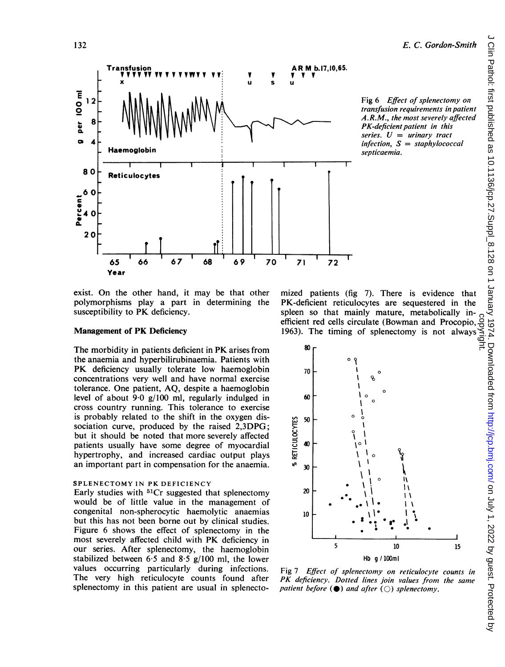



66 67

## Management of PK Deficiency

65

The morbidity in patients deficient in PK arises from the anaemia and hyperbilirubinaemia. Patients with PK deficiency usually tolerate low haemoglobin concentrations very well and have normal exercise tolerance. One patient, AQ, despite a haemoglobin level of about 9-0 g/100 ml, regularly indulged in cross country running. This tolerance to exercise is probably related to the shift in the oxygen dissociation curve, produced by the raised 2,3DPG; but it should be noted that more severely affected patients usually have some degree of myocardial hypertrophy, and increased cardiac output plays an important part in compensation for the anaemia.

## SPLENECTOMY IN PK DEFICIENCY

Early studies with  ${}^{51}Cr$  suggested that splenectomy would be of little value in the management of congenital non-spherocytic haemolytic anaemias but this has not been borne out by clinical studies. Figure 6 shows the effect of splenectomy in the most severely affected child with PK deficiency in our series. After splenectomy, the haemoglobin stabilized between 6.5 and 8.5  $g/100$  ml, the lower values occurring particularly during infections. The very high reticulocyte counts found after splenectomy in this patient are usual in splenecto-

mized patients (fig 7). There is evidence that PK-deficient reticulocytes are sequestered in the spleen so that mainly mature, metabolically inefficient red cells circulate (Bowman and Procopio, 1963). The timing of splenectomy is not always



Fig 7 Effect of splenectomy on reticulocyte counts in PK deficiency. Dotted lines join values from the same patient before  $\Theta$  and after  $\textcircled{c}$  splenectomy.

per 100 ml

<sup>1</sup> 2

8

4

80

60

b.4 0 Percent

2 0

0.

Transfusion

Haemoglobin

Reticulocytes

x

nsfusion<br>V V V V V V V V V V VWV V V<br>×

V V U S

AR M b.17, 10, 65. 'v

72

I I k .